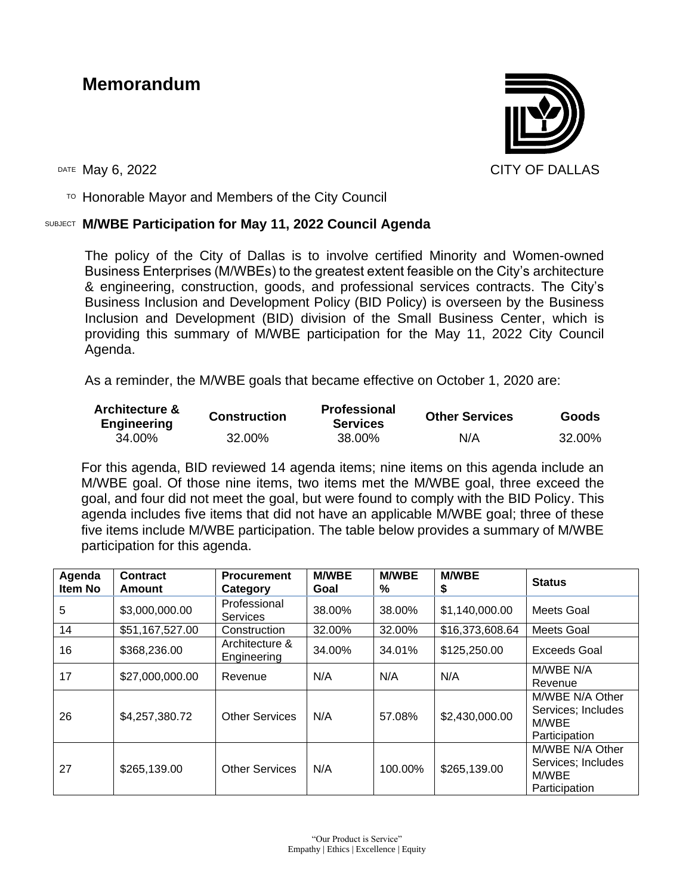# **Memorandum**



 $T$ <sup>O</sup> Honorable Mayor and Members of the City Council

#### SUBJECT **M/WBE Participation for May 11, 2022 Council Agenda**

The policy of the City of Dallas is to involve certified Minority and Women-owned Business Enterprises (M/WBEs) to the greatest extent feasible on the City's architecture & engineering, construction, goods, and professional services contracts. The City's Business Inclusion and Development Policy (BID Policy) is overseen by the Business Inclusion and Development (BID) division of the Small Business Center, which is providing this summary of M/WBE participation for the May 11, 2022 City Council Agenda.

As a reminder, the M/WBE goals that became effective on October 1, 2020 are:

| <b>Architecture &amp;</b><br><b>Engineering</b> | <b>Construction</b> | <b>Professional</b><br><b>Services</b> | <b>Other Services</b> | <b>Goods</b> |
|-------------------------------------------------|---------------------|----------------------------------------|-----------------------|--------------|
| 34.00%                                          | 32.00%              | 38.00%                                 | N/A                   | 32.00%       |

For this agenda, BID reviewed 14 agenda items; nine items on this agenda include an M/WBE goal. Of those nine items, two items met the M/WBE goal, three exceed the goal, and four did not meet the goal, but were found to comply with the BID Policy. This agenda includes five items that did not have an applicable M/WBE goal; three of these five items include M/WBE participation. The table below provides a summary of M/WBE participation for this agenda.

| Agenda<br>Item No | Contract<br>Amount | <b>Procurement</b><br>Category  | <b>M/WBE</b><br>Goal | <b>M/WBE</b><br>℅ | <b>M/WBE</b><br>\$ | <b>Status</b>                                                   |
|-------------------|--------------------|---------------------------------|----------------------|-------------------|--------------------|-----------------------------------------------------------------|
| 5                 | \$3,000,000.00     | Professional<br><b>Services</b> | 38.00%               | 38.00%            | \$1,140,000.00     | Meets Goal                                                      |
| 14                | \$51,167,527.00    | Construction                    | 32.00%               | 32.00%            | \$16,373,608.64    | Meets Goal                                                      |
| 16                | \$368,236.00       | Architecture &<br>Engineering   | 34.00%               | 34.01%            | \$125,250.00       | Exceeds Goal                                                    |
| 17                | \$27,000,000.00    | Revenue                         | N/A                  | N/A               | N/A                | M/WBE N/A<br>Revenue                                            |
| 26                | \$4,257,380.72     | <b>Other Services</b>           | N/A                  | 57.08%            | \$2,430,000.00     | M/WBE N/A Other<br>Services; Includes<br>M/WBE<br>Participation |
| 27                | \$265,139.00       | <b>Other Services</b>           | N/A                  | 100.00%           | \$265,139.00       | M/WBE N/A Other<br>Services; Includes<br>M/WBE<br>Participation |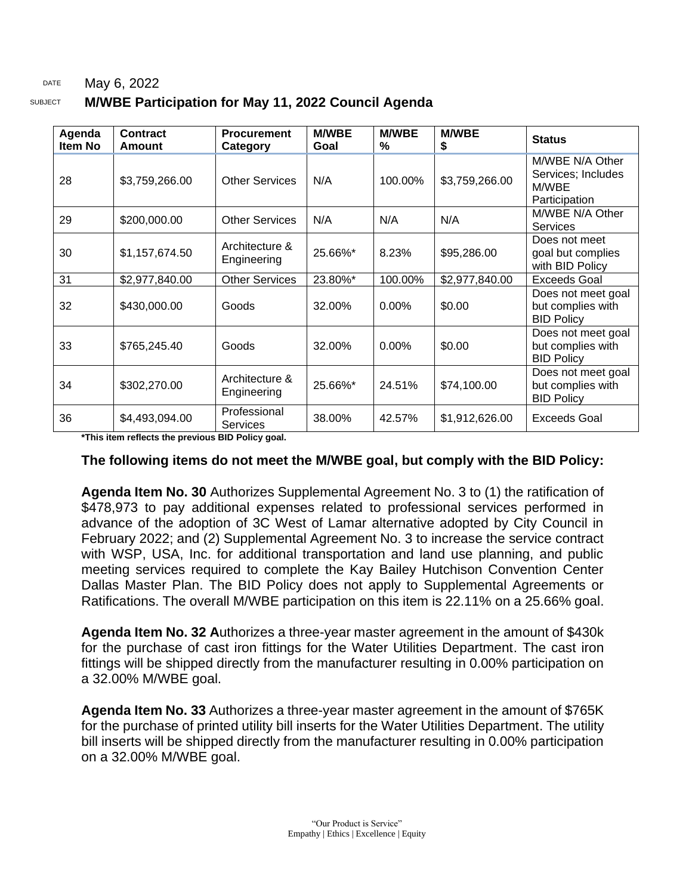#### DATE May 6, 2022 SUBJECT **M/WBE Participation for May 11, 2022 Council Agenda**

| Agenda<br><b>Item No</b> | <b>Contract</b><br>Amount | <b>Procurement</b><br>Category  | <b>M/WBE</b><br>Goal | <b>M/WBE</b><br>% | <b>M/WBE</b><br>\$ | <b>Status</b>                                                   |
|--------------------------|---------------------------|---------------------------------|----------------------|-------------------|--------------------|-----------------------------------------------------------------|
| 28                       | \$3,759,266.00            | <b>Other Services</b>           | N/A                  | 100.00%           | \$3,759,266.00     | M/WBE N/A Other<br>Services; Includes<br>M/WBE<br>Participation |
| 29                       | \$200,000.00              | <b>Other Services</b>           | N/A                  | N/A               | N/A                | M/WBE N/A Other<br>Services                                     |
| 30                       | \$1,157,674.50            | Architecture &<br>Engineering   | 25.66%*              | 8.23%             | \$95,286.00        | Does not meet<br>goal but complies<br>with BID Policy           |
| 31                       | \$2,977,840.00            | <b>Other Services</b>           | 23.80%*              | 100.00%           | \$2,977,840.00     | <b>Exceeds Goal</b>                                             |
| 32                       | \$430,000.00              | Goods                           | 32.00%               | $0.00\%$          | \$0.00             | Does not meet goal<br>but complies with<br><b>BID Policy</b>    |
| 33                       | \$765,245.40              | Goods                           | 32.00%               | $0.00\%$          | \$0.00             | Does not meet goal<br>but complies with<br><b>BID Policy</b>    |
| 34                       | \$302,270.00              | Architecture &<br>Engineering   | 25.66%*              | 24.51%            | \$74,100.00        | Does not meet goal<br>but complies with<br><b>BID Policy</b>    |
| 36                       | \$4,493,094.00            | Professional<br><b>Services</b> | 38.00%               | 42.57%            | \$1,912,626.00     | Exceeds Goal                                                    |

**\*This item reflects the previous BID Policy goal.**

#### **The following items do not meet the M/WBE goal, but comply with the BID Policy:**

**Agenda Item No. 30** Authorizes Supplemental Agreement No. 3 to (1) the ratification of \$478,973 to pay additional expenses related to professional services performed in advance of the adoption of 3C West of Lamar alternative adopted by City Council in February 2022; and (2) Supplemental Agreement No. 3 to increase the service contract with WSP, USA, Inc. for additional transportation and land use planning, and public meeting services required to complete the Kay Bailey Hutchison Convention Center Dallas Master Plan. The BID Policy does not apply to Supplemental Agreements or Ratifications. The overall M/WBE participation on this item is 22.11% on a 25.66% goal.

**Agenda Item No. 32 A**uthorizes a three-year master agreement in the amount of \$430k for the purchase of cast iron fittings for the Water Utilities Department. The cast iron fittings will be shipped directly from the manufacturer resulting in 0.00% participation on a 32.00% M/WBE goal.

**Agenda Item No. 33** Authorizes a three-year master agreement in the amount of \$765K for the purchase of printed utility bill inserts for the Water Utilities Department. The utility bill inserts will be shipped directly from the manufacturer resulting in 0.00% participation on a 32.00% M/WBE goal.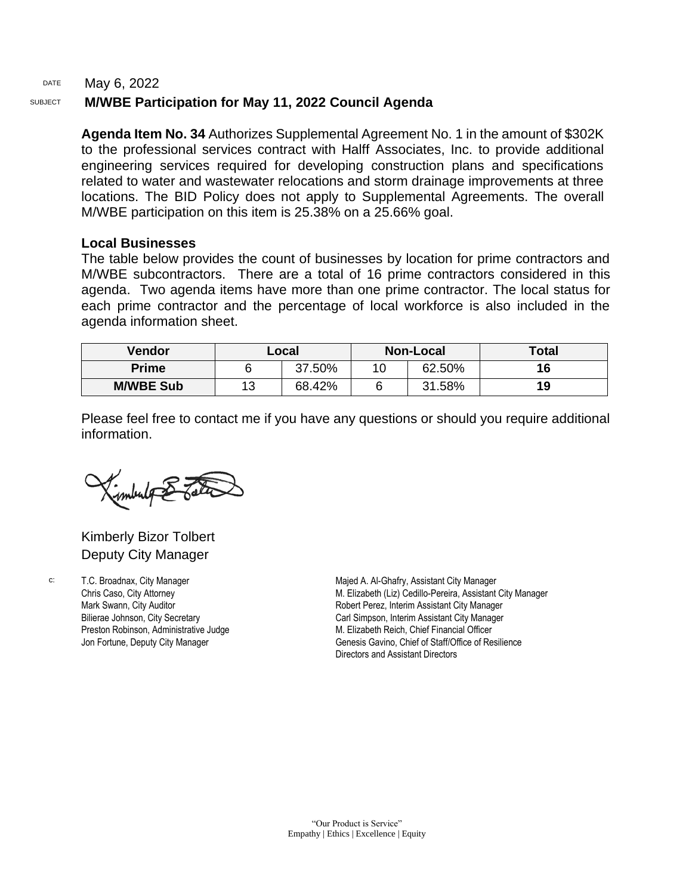#### DATE May 6, 2022 SUBJECT **M/WBE Participation for May 11, 2022 Council Agenda**

**Agenda Item No. 34** Authorizes Supplemental Agreement No. 1 in the amount of \$302K to the professional services contract with Halff Associates, Inc. to provide additional engineering services required for developing construction plans and specifications related to water and wastewater relocations and storm drainage improvements at three locations. The BID Policy does not apply to Supplemental Agreements. The overall M/WBE participation on this item is 25.38% on a 25.66% goal.

#### **Local Businesses**

The table below provides the count of businesses by location for prime contractors and M/WBE subcontractors. There are a total of 16 prime contractors considered in this agenda. Two agenda items have more than one prime contractor. The local status for each prime contractor and the percentage of local workforce is also included in the agenda information sheet.

| Vendor           |    | Local  | <b>Non-Local</b> |        | <b>Total</b> |
|------------------|----|--------|------------------|--------|--------------|
| <b>Prime</b>     |    | 37.50% |                  | 62.50% | 16           |
| <b>M/WBE Sub</b> | 13 | 68.42% |                  | 31.58% | 19           |

Please feel free to contact me if you have any questions or should you require additional information.

imbulg & Tata

Kimberly Bizor Tolbert Deputy City Manager

c: T.C. Broadnax, City Manager Chris Caso, City Attorney Mark Swann, City Auditor Bilierae Johnson, City Secretary Preston Robinson, Administrative Judge Jon Fortune, Deputy City Manager

Majed A. Al-Ghafry, Assistant City Manager M. Elizabeth (Liz) Cedillo-Pereira, Assistant City Manager Robert Perez, Interim Assistant City Manager Carl Simpson, Interim Assistant City Manager M. Elizabeth Reich, Chief Financial Officer Genesis Gavino, Chief of Staff/Office of Resilience Directors and Assistant Directors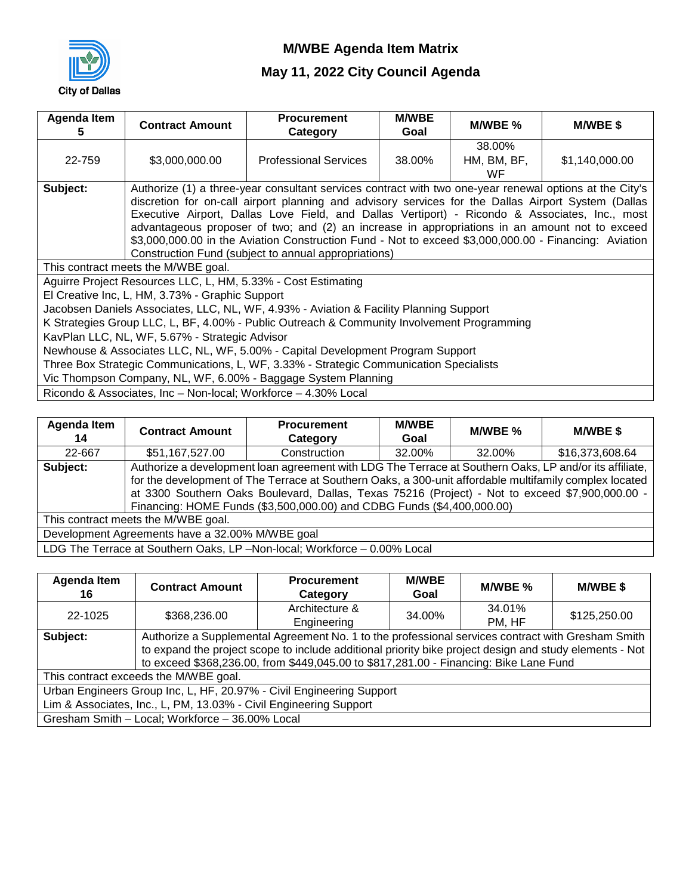

| <b>Agenda Item</b> | <b>Contract Amount</b>                                                                 | <b>Procurement</b>                                                                                      | <b>M/WBE</b> | M/WBE %     | <b>M/WBE\$</b> |  |  |
|--------------------|----------------------------------------------------------------------------------------|---------------------------------------------------------------------------------------------------------|--------------|-------------|----------------|--|--|
| C                  |                                                                                        | Category                                                                                                | Goal         |             |                |  |  |
|                    |                                                                                        |                                                                                                         |              | 38.00%      |                |  |  |
| 22-759             | \$3,000,000.00                                                                         | <b>Professional Services</b>                                                                            | 38.00%       | HM, BM, BF, | \$1,140,000.00 |  |  |
|                    |                                                                                        |                                                                                                         |              | <b>WF</b>   |                |  |  |
| Subject:           |                                                                                        | Authorize (1) a three-year consultant services contract with two one-year renewal options at the City's |              |             |                |  |  |
|                    |                                                                                        | discretion for on-call airport planning and advisory services for the Dallas Airport System (Dallas     |              |             |                |  |  |
|                    |                                                                                        | Executive Airport, Dallas Love Field, and Dallas Vertiport) - Ricondo & Associates, Inc., most          |              |             |                |  |  |
|                    |                                                                                        | advantageous proposer of two; and (2) an increase in appropriations in an amount not to exceed          |              |             |                |  |  |
|                    |                                                                                        | \$3,000,000.00 in the Aviation Construction Fund - Not to exceed \$3,000,000.00 - Financing: Aviation   |              |             |                |  |  |
|                    |                                                                                        | Construction Fund (subject to annual appropriations)                                                    |              |             |                |  |  |
|                    | This contract meets the M/WBE goal.                                                    |                                                                                                         |              |             |                |  |  |
|                    | Aguirre Project Resources LLC, L, HM, 5.33% - Cost Estimating                          |                                                                                                         |              |             |                |  |  |
|                    | El Creative Inc, L, HM, 3.73% - Graphic Support                                        |                                                                                                         |              |             |                |  |  |
|                    |                                                                                        | Jacobsen Daniels Associates, LLC, NL, WF, 4.93% - Aviation & Facility Planning Support                  |              |             |                |  |  |
|                    |                                                                                        | K Strategies Group LLC, L, BF, 4.00% - Public Outreach & Community Involvement Programming              |              |             |                |  |  |
|                    | KavPlan LLC, NL, WF, 5.67% - Strategic Advisor                                         |                                                                                                         |              |             |                |  |  |
|                    | Newhouse & Associates LLC, NL, WF, 5.00% - Capital Development Program Support         |                                                                                                         |              |             |                |  |  |
|                    | Three Box Strategic Communications, L, WF, 3.33% - Strategic Communication Specialists |                                                                                                         |              |             |                |  |  |
|                    |                                                                                        | Vic Thompson Company, NL, WF, 6.00% - Baggage System Planning                                           |              |             |                |  |  |
|                    |                                                                                        | Ricondo & Associates, Inc - Non-local; Workforce - 4.30% Local                                          |              |             |                |  |  |

| <b>Agenda Item</b><br>14                        | <b>Contract Amount</b>              | <b>Procurement</b><br>Category                                                                                                                                                                                                                                                                                                                                                                | <b>M/WBE</b><br>Goal | M/WBE % | <b>M/WBE \$</b> |  |
|-------------------------------------------------|-------------------------------------|-----------------------------------------------------------------------------------------------------------------------------------------------------------------------------------------------------------------------------------------------------------------------------------------------------------------------------------------------------------------------------------------------|----------------------|---------|-----------------|--|
| 22-667                                          | \$51,167,527.00                     | Construction                                                                                                                                                                                                                                                                                                                                                                                  | 32.00%               | 32.00%  | \$16,373,608.64 |  |
| Subject:                                        |                                     | Authorize a development loan agreement with LDG The Terrace at Southern Oaks, LP and/or its affiliate,<br>for the development of The Terrace at Southern Oaks, a 300-unit affordable multifamily complex located<br>at 3300 Southern Oaks Boulevard, Dallas, Texas 75216 (Project) - Not to exceed \$7,900,000.00 -<br>Financing: HOME Funds (\$3,500,000.00) and CDBG Funds (\$4,400,000.00) |                      |         |                 |  |
|                                                 | This contract meets the M/WBE goal. |                                                                                                                                                                                                                                                                                                                                                                                               |                      |         |                 |  |
| Development Agreements have a 32.00% M/WBE goal |                                     |                                                                                                                                                                                                                                                                                                                                                                                               |                      |         |                 |  |
|                                                 |                                     | LDG The Terrace at Southern Oaks, LP -Non-local; Workforce - 0.00% Local                                                                                                                                                                                                                                                                                                                      |                      |         |                 |  |

| <b>Agenda Item</b><br>16                                                                                                                                                                                                                                                                                          | <b>Contract Amount</b>                          | <b>Procurement</b><br>Category                                       | <b>M/WBE</b><br>Goal | M/WBE % | <b>M/WBE \$</b> |  |  |
|-------------------------------------------------------------------------------------------------------------------------------------------------------------------------------------------------------------------------------------------------------------------------------------------------------------------|-------------------------------------------------|----------------------------------------------------------------------|----------------------|---------|-----------------|--|--|
| 22-1025                                                                                                                                                                                                                                                                                                           | \$368,236.00                                    | Architecture &                                                       | 34.00%               | 34.01%  | \$125,250.00    |  |  |
|                                                                                                                                                                                                                                                                                                                   |                                                 | Engineering                                                          |                      | PM, HF  |                 |  |  |
| Authorize a Supplemental Agreement No. 1 to the professional services contract with Gresham Smith<br>Subject:<br>to expand the project scope to include additional priority bike project design and study elements - Not<br>to exceed \$368,236.00, from \$449,045.00 to \$817,281.00 - Financing: Bike Lane Fund |                                                 |                                                                      |                      |         |                 |  |  |
|                                                                                                                                                                                                                                                                                                                   | This contract exceeds the M/WBE goal.           |                                                                      |                      |         |                 |  |  |
|                                                                                                                                                                                                                                                                                                                   |                                                 | Urban Engineers Group Inc, L, HF, 20.97% - Civil Engineering Support |                      |         |                 |  |  |
| Lim & Associates, Inc., L, PM, 13.03% - Civil Engineering Support                                                                                                                                                                                                                                                 |                                                 |                                                                      |                      |         |                 |  |  |
|                                                                                                                                                                                                                                                                                                                   | Gresham Smith - Local; Workforce - 36.00% Local |                                                                      |                      |         |                 |  |  |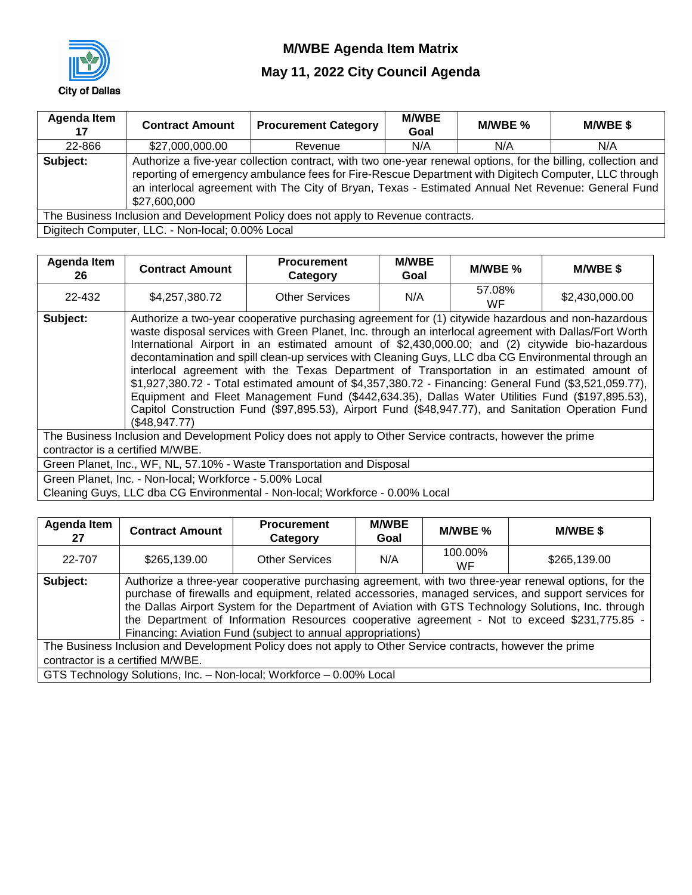

| Agenda Item<br>17                                                                  | <b>Contract Amount</b>                           | <b>Procurement Category</b>                                                                                                                                                                                                                                                                                                 | <b>M/WBE</b><br>Goal | M/WBE % | <b>M/WBE \$</b> |  |  |
|------------------------------------------------------------------------------------|--------------------------------------------------|-----------------------------------------------------------------------------------------------------------------------------------------------------------------------------------------------------------------------------------------------------------------------------------------------------------------------------|----------------------|---------|-----------------|--|--|
| 22-866                                                                             | \$27,000,000.00                                  | Revenue                                                                                                                                                                                                                                                                                                                     | N/A                  | N/A     | N/A             |  |  |
| Subject:                                                                           | \$27,600,000                                     | Authorize a five-year collection contract, with two one-year renewal options, for the billing, collection and<br>reporting of emergency ambulance fees for Fire-Rescue Department with Digitech Computer, LLC through<br>an interlocal agreement with The City of Bryan, Texas - Estimated Annual Net Revenue: General Fund |                      |         |                 |  |  |
| The Business Inclusion and Development Policy does not apply to Revenue contracts. |                                                  |                                                                                                                                                                                                                                                                                                                             |                      |         |                 |  |  |
|                                                                                    | Digitech Computer, LLC. - Non-local; 0.00% Local |                                                                                                                                                                                                                                                                                                                             |                      |         |                 |  |  |

| Agenda Item<br>26                | <b>Contract Amount</b>                                                 | <b>Procurement</b><br>Category                                                                                                                                                                                                                                                                                                                                                                                                                                                                                                                                                                                                                                                                                                                                                                                                        | <b>M/WBE</b><br>Goal | M/WBE %      | <b>M/WBE \$</b> |  |
|----------------------------------|------------------------------------------------------------------------|---------------------------------------------------------------------------------------------------------------------------------------------------------------------------------------------------------------------------------------------------------------------------------------------------------------------------------------------------------------------------------------------------------------------------------------------------------------------------------------------------------------------------------------------------------------------------------------------------------------------------------------------------------------------------------------------------------------------------------------------------------------------------------------------------------------------------------------|----------------------|--------------|-----------------|--|
| 22-432                           | \$4,257,380.72                                                         | <b>Other Services</b>                                                                                                                                                                                                                                                                                                                                                                                                                                                                                                                                                                                                                                                                                                                                                                                                                 | N/A                  | 57.08%<br>WF | \$2,430,000.00  |  |
| Subject:                         | (S48.947.77)                                                           | Authorize a two-year cooperative purchasing agreement for (1) citywide hazardous and non-hazardous<br>waste disposal services with Green Planet, Inc. through an interlocal agreement with Dallas/Fort Worth<br>International Airport in an estimated amount of \$2,430,000.00; and (2) citywide bio-hazardous<br>decontamination and spill clean-up services with Cleaning Guys, LLC dba CG Environmental through an<br>interlocal agreement with the Texas Department of Transportation in an estimated amount of<br>\$1,927,380.72 - Total estimated amount of \$4,357,380.72 - Financing: General Fund (\$3,521,059.77),<br>Equipment and Fleet Management Fund (\$442,634.35), Dallas Water Utilities Fund (\$197,895.53),<br>Capitol Construction Fund (\$97,895.53), Airport Fund (\$48,947.77), and Sanitation Operation Fund |                      |              |                 |  |
| contractor is a certified M/WBE. |                                                                        | The Business Inclusion and Development Policy does not apply to Other Service contracts, however the prime                                                                                                                                                                                                                                                                                                                                                                                                                                                                                                                                                                                                                                                                                                                            |                      |              |                 |  |
|                                  | Green Planet, Inc., WF, NL, 57.10% - Waste Transportation and Disposal |                                                                                                                                                                                                                                                                                                                                                                                                                                                                                                                                                                                                                                                                                                                                                                                                                                       |                      |              |                 |  |
|                                  | Green Planet, Inc. - Non-local; Workforce - 5.00% Local                |                                                                                                                                                                                                                                                                                                                                                                                                                                                                                                                                                                                                                                                                                                                                                                                                                                       |                      |              |                 |  |
|                                  |                                                                        | Cleaning Guys, LLC dba CG Environmental - Non-local; Workforce - 0.00% Local                                                                                                                                                                                                                                                                                                                                                                                                                                                                                                                                                                                                                                                                                                                                                          |                      |              |                 |  |

| Agenda Item<br>27 | <b>Contract Amount</b>                                                                                     | <b>Procurement</b><br>Category                                      | <b>M/WBE</b><br>Goal | M/WBE %       | M/WBE\$                                                                                                                                                                                                                                                                                                                                                                                                               |  |  |  |
|-------------------|------------------------------------------------------------------------------------------------------------|---------------------------------------------------------------------|----------------------|---------------|-----------------------------------------------------------------------------------------------------------------------------------------------------------------------------------------------------------------------------------------------------------------------------------------------------------------------------------------------------------------------------------------------------------------------|--|--|--|
| 22-707            | \$265,139.00                                                                                               | <b>Other Services</b>                                               | N/A                  | 100.00%<br>WF | \$265,139.00                                                                                                                                                                                                                                                                                                                                                                                                          |  |  |  |
| Subject:          |                                                                                                            | Financing: Aviation Fund (subject to annual appropriations)         |                      |               | Authorize a three-year cooperative purchasing agreement, with two three-year renewal options, for the<br>purchase of firewalls and equipment, related accessories, managed services, and support services for<br>the Dallas Airport System for the Department of Aviation with GTS Technology Solutions, Inc. through<br>the Department of Information Resources cooperative agreement - Not to exceed \$231,775.85 - |  |  |  |
|                   | The Business Inclusion and Development Policy does not apply to Other Service contracts, however the prime |                                                                     |                      |               |                                                                                                                                                                                                                                                                                                                                                                                                                       |  |  |  |
|                   | contractor is a certified M/WBE.                                                                           |                                                                     |                      |               |                                                                                                                                                                                                                                                                                                                                                                                                                       |  |  |  |
|                   |                                                                                                            | GTS Technology Solutions, Inc. - Non-local; Workforce - 0.00% Local |                      |               |                                                                                                                                                                                                                                                                                                                                                                                                                       |  |  |  |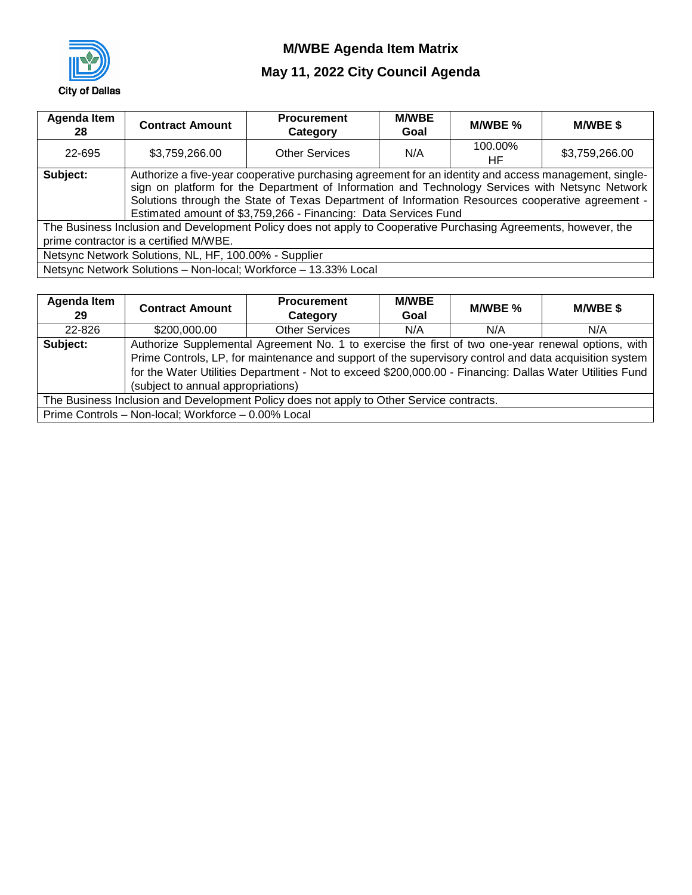

| Agenda Item<br>28 | <b>Contract Amount</b>                                                                                                                                                                                                                                                                                                                                                          | <b>Procurement</b><br>Category                                  | <b>M/WBE</b><br>Goal | M/WBE %       | <b>M/WBE \$</b> |  |  |
|-------------------|---------------------------------------------------------------------------------------------------------------------------------------------------------------------------------------------------------------------------------------------------------------------------------------------------------------------------------------------------------------------------------|-----------------------------------------------------------------|----------------------|---------------|-----------------|--|--|
| 22-695            | \$3,759,266.00                                                                                                                                                                                                                                                                                                                                                                  | <b>Other Services</b>                                           | N/A                  | 100.00%<br>ΗF | \$3,759,266.00  |  |  |
| Subject:          | Authorize a five-year cooperative purchasing agreement for an identity and access management, single-<br>sign on platform for the Department of Information and Technology Services with Netsync Network<br>Solutions through the State of Texas Department of Information Resources cooperative agreement -<br>Estimated amount of \$3,759,266 - Financing: Data Services Fund |                                                                 |                      |               |                 |  |  |
|                   | The Business Inclusion and Development Policy does not apply to Cooperative Purchasing Agreements, however, the<br>prime contractor is a certified M/WBE.                                                                                                                                                                                                                       |                                                                 |                      |               |                 |  |  |
|                   | Netsync Network Solutions, NL, HF, 100.00% - Supplier                                                                                                                                                                                                                                                                                                                           |                                                                 |                      |               |                 |  |  |
|                   |                                                                                                                                                                                                                                                                                                                                                                                 | Netsync Network Solutions - Non-local; Workforce - 13.33% Local |                      |               |                 |  |  |

| Agenda Item<br>29                                                                        | <b>Contract Amount</b>                                                                                 | <b>Procurement</b><br>Category                                                                           | <b>M/WBE</b><br>Goal | M/WBE % | <b>M/WBE \$</b> |  |  |  |
|------------------------------------------------------------------------------------------|--------------------------------------------------------------------------------------------------------|----------------------------------------------------------------------------------------------------------|----------------------|---------|-----------------|--|--|--|
| 22-826                                                                                   | \$200,000.00                                                                                           | <b>Other Services</b>                                                                                    | N/A                  | N/A     | N/A             |  |  |  |
| Subject:                                                                                 | Authorize Supplemental Agreement No. 1 to exercise the first of two one-year renewal options, with     |                                                                                                          |                      |         |                 |  |  |  |
|                                                                                          | Prime Controls, LP, for maintenance and support of the supervisory control and data acquisition system |                                                                                                          |                      |         |                 |  |  |  |
|                                                                                          |                                                                                                        | for the Water Utilities Department - Not to exceed \$200,000.00 - Financing: Dallas Water Utilities Fund |                      |         |                 |  |  |  |
|                                                                                          | (subject to annual appropriations)                                                                     |                                                                                                          |                      |         |                 |  |  |  |
| The Business Inclusion and Development Policy does not apply to Other Service contracts. |                                                                                                        |                                                                                                          |                      |         |                 |  |  |  |
|                                                                                          | Prime Controls - Non-local; Workforce - 0.00% Local                                                    |                                                                                                          |                      |         |                 |  |  |  |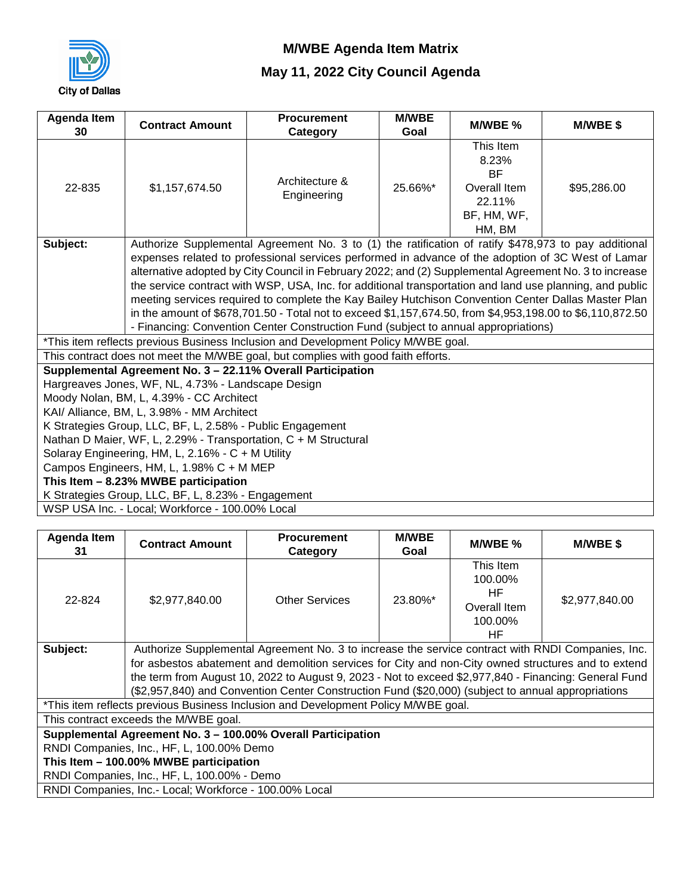

| Agenda Item | <b>Contract Amount</b>                                                                                    | <b>Procurement</b>                                                                  | <b>M/WBE</b> | M/WBE %      | <b>M/WBE \$</b> |  |  |  |  |  |  |  |  |
|-------------|-----------------------------------------------------------------------------------------------------------|-------------------------------------------------------------------------------------|--------------|--------------|-----------------|--|--|--|--|--|--|--|--|
| 30          |                                                                                                           | Category                                                                            | Goal         |              |                 |  |  |  |  |  |  |  |  |
|             |                                                                                                           |                                                                                     |              | This Item    |                 |  |  |  |  |  |  |  |  |
|             |                                                                                                           |                                                                                     |              | 8.23%        |                 |  |  |  |  |  |  |  |  |
|             |                                                                                                           | Architecture &                                                                      | 25.66%*      | <b>BF</b>    |                 |  |  |  |  |  |  |  |  |
| 22-835      | \$1,157,674.50                                                                                            | Engineering                                                                         |              | Overall Item | \$95,286.00     |  |  |  |  |  |  |  |  |
|             |                                                                                                           |                                                                                     |              | 22.11%       |                 |  |  |  |  |  |  |  |  |
|             |                                                                                                           |                                                                                     |              | BF, HM, WF,  |                 |  |  |  |  |  |  |  |  |
|             |                                                                                                           |                                                                                     |              | HM, BM       |                 |  |  |  |  |  |  |  |  |
| Subject:    | Authorize Supplemental Agreement No. 3 to (1) the ratification of ratify \$478,973 to pay additional      |                                                                                     |              |              |                 |  |  |  |  |  |  |  |  |
|             | expenses related to professional services performed in advance of the adoption of 3C West of Lamar        |                                                                                     |              |              |                 |  |  |  |  |  |  |  |  |
|             | alternative adopted by City Council in February 2022; and (2) Supplemental Agreement No. 3 to increase    |                                                                                     |              |              |                 |  |  |  |  |  |  |  |  |
|             | the service contract with WSP, USA, Inc. for additional transportation and land use planning, and public  |                                                                                     |              |              |                 |  |  |  |  |  |  |  |  |
|             | meeting services required to complete the Kay Bailey Hutchison Convention Center Dallas Master Plan       |                                                                                     |              |              |                 |  |  |  |  |  |  |  |  |
|             | in the amount of \$678,701.50 - Total not to exceed \$1,157,674.50, from \$4,953,198.00 to \$6,110,872.50 |                                                                                     |              |              |                 |  |  |  |  |  |  |  |  |
|             |                                                                                                           | - Financing: Convention Center Construction Fund (subject to annual appropriations) |              |              |                 |  |  |  |  |  |  |  |  |
|             |                                                                                                           | *This item reflects previous Business Inclusion and Development Policy M/WBE goal.  |              |              |                 |  |  |  |  |  |  |  |  |
|             |                                                                                                           | This contract does not meet the M/WBE goal, but complies with good faith efforts.   |              |              |                 |  |  |  |  |  |  |  |  |
|             |                                                                                                           | Supplemental Agreement No. 3 - 22.11% Overall Participation                         |              |              |                 |  |  |  |  |  |  |  |  |
|             | Hargreaves Jones, WF, NL, 4.73% - Landscape Design                                                        |                                                                                     |              |              |                 |  |  |  |  |  |  |  |  |
|             | Moody Nolan, BM, L, 4.39% - CC Architect                                                                  |                                                                                     |              |              |                 |  |  |  |  |  |  |  |  |
|             | KAI/ Alliance, BM, L, 3.98% - MM Architect                                                                |                                                                                     |              |              |                 |  |  |  |  |  |  |  |  |
|             | K Strategies Group, LLC, BF, L, 2.58% - Public Engagement                                                 |                                                                                     |              |              |                 |  |  |  |  |  |  |  |  |
|             |                                                                                                           | Nathan D Maier, WF, L, 2.29% - Transportation, C + M Structural                     |              |              |                 |  |  |  |  |  |  |  |  |
|             | Solaray Engineering, HM, L, 2.16% - C + M Utility                                                         |                                                                                     |              |              |                 |  |  |  |  |  |  |  |  |
|             | Campos Engineers, HM, L, 1.98% C + M MEP                                                                  |                                                                                     |              |              |                 |  |  |  |  |  |  |  |  |
|             | This Item - 8.23% MWBE participation                                                                      |                                                                                     |              |              |                 |  |  |  |  |  |  |  |  |
|             | K Strategies Group, LLC, BF, L, 8.23% - Engagement                                                        |                                                                                     |              |              |                 |  |  |  |  |  |  |  |  |
|             | WSP USA Inc. - Local; Workforce - 100.00% Local                                                           |                                                                                     |              |              |                 |  |  |  |  |  |  |  |  |

| Agenda Item<br>31                      | <b>Contract Amount</b>                                                                              | <b>Procurement</b><br>Category                                                                        | <b>M/WBE</b><br>Goal | M/WBE %                                                     | <b>M/WBE\$</b> |  |  |  |  |  |  |  |
|----------------------------------------|-----------------------------------------------------------------------------------------------------|-------------------------------------------------------------------------------------------------------|----------------------|-------------------------------------------------------------|----------------|--|--|--|--|--|--|--|
| 22-824                                 | \$2,977,840.00                                                                                      | <b>Other Services</b>                                                                                 | 23.80%*              | This Item<br>100.00%<br>HF<br>Overall Item<br>100.00%<br>ΗF | \$2,977,840.00 |  |  |  |  |  |  |  |
| Subject:                               |                                                                                                     | Authorize Supplemental Agreement No. 3 to increase the service contract with RNDI Companies, Inc.     |                      |                                                             |                |  |  |  |  |  |  |  |
|                                        | for asbestos abatement and demolition services for City and non-City owned structures and to extend |                                                                                                       |                      |                                                             |                |  |  |  |  |  |  |  |
|                                        |                                                                                                     | the term from August 10, 2022 to August 9, 2023 - Not to exceed \$2,977,840 - Financing: General Fund |                      |                                                             |                |  |  |  |  |  |  |  |
|                                        |                                                                                                     | (\$2,957,840) and Convention Center Construction Fund (\$20,000) (subject to annual appropriations    |                      |                                                             |                |  |  |  |  |  |  |  |
|                                        |                                                                                                     | *This item reflects previous Business Inclusion and Development Policy M/WBE goal.                    |                      |                                                             |                |  |  |  |  |  |  |  |
|                                        | This contract exceeds the M/WBE goal.                                                               |                                                                                                       |                      |                                                             |                |  |  |  |  |  |  |  |
|                                        |                                                                                                     | Supplemental Agreement No. 3 - 100.00% Overall Participation                                          |                      |                                                             |                |  |  |  |  |  |  |  |
|                                        | RNDI Companies, Inc., HF, L, 100.00% Demo                                                           |                                                                                                       |                      |                                                             |                |  |  |  |  |  |  |  |
| This Item - 100.00% MWBE participation |                                                                                                     |                                                                                                       |                      |                                                             |                |  |  |  |  |  |  |  |
|                                        | RNDI Companies, Inc., HF, L, 100.00% - Demo                                                         |                                                                                                       |                      |                                                             |                |  |  |  |  |  |  |  |
|                                        | RNDI Companies, Inc.- Local; Workforce - 100.00% Local                                              |                                                                                                       |                      |                                                             |                |  |  |  |  |  |  |  |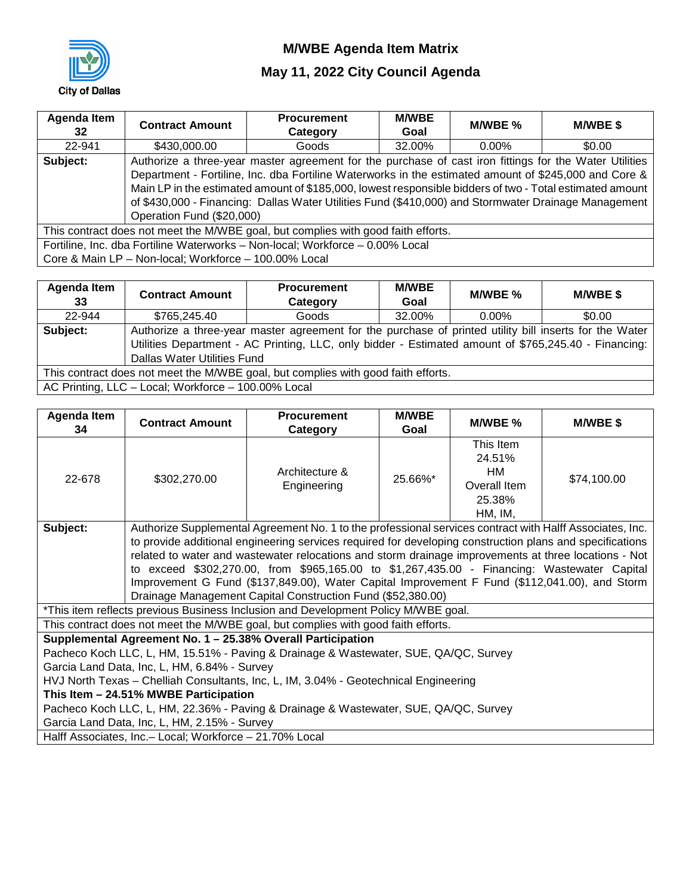

## **May 11, 2022 City Council Agenda**

| Agenda Item<br>32 <sub>2</sub>                                                    | <b>Contract Amount</b>    | <b>Procurement</b><br>Category                                                                                                                                                                                                                                                                                                                                                                                                      | <b>M/WBE</b><br>Goal | M/WBE %  | <b>M/WBE \$</b> |  |  |  |  |
|-----------------------------------------------------------------------------------|---------------------------|-------------------------------------------------------------------------------------------------------------------------------------------------------------------------------------------------------------------------------------------------------------------------------------------------------------------------------------------------------------------------------------------------------------------------------------|----------------------|----------|-----------------|--|--|--|--|
| 22-941                                                                            | \$430,000.00              | Goods                                                                                                                                                                                                                                                                                                                                                                                                                               | 32.00%               | $0.00\%$ | \$0.00          |  |  |  |  |
| Subject:                                                                          | Operation Fund (\$20,000) | Authorize a three-year master agreement for the purchase of cast iron fittings for the Water Utilities<br>Department - Fortiline, Inc. dba Fortiline Waterworks in the estimated amount of \$245,000 and Core &<br>Main LP in the estimated amount of \$185,000, lowest responsible bidders of two - Total estimated amount<br>of \$430,000 - Financing: Dallas Water Utilities Fund (\$410,000) and Stormwater Drainage Management |                      |          |                 |  |  |  |  |
| This contract does not meet the M/WBE goal, but complies with good faith efforts. |                           |                                                                                                                                                                                                                                                                                                                                                                                                                                     |                      |          |                 |  |  |  |  |
|                                                                                   |                           | Fortiline, Inc. dba Fortiline Waterworks - Non-local; Workforce - 0.00% Local                                                                                                                                                                                                                                                                                                                                                       |                      |          |                 |  |  |  |  |

Core & Main LP – Non-local; Workforce – 100.00% Local

| Agenda Item<br>33                                                                 | <b>Contract Amount</b>                                                                                 | <b>Procurement</b><br>Category     | M/WBE % | <b>M/WBE \$</b> |  |  |  |  |  |  |  |  |
|-----------------------------------------------------------------------------------|--------------------------------------------------------------------------------------------------------|------------------------------------|---------|-----------------|--|--|--|--|--|--|--|--|
| 22-944                                                                            | \$765,245.40                                                                                           | 32.00%<br>Goods<br>\$0.00<br>0.00% |         |                 |  |  |  |  |  |  |  |  |
| Subject:                                                                          | Authorize a three-year master agreement for the purchase of printed utility bill inserts for the Water |                                    |         |                 |  |  |  |  |  |  |  |  |
|                                                                                   | Utilities Department - AC Printing, LLC, only bidder - Estimated amount of \$765,245.40 - Financing:   |                                    |         |                 |  |  |  |  |  |  |  |  |
|                                                                                   | <b>Dallas Water Utilities Fund</b>                                                                     |                                    |         |                 |  |  |  |  |  |  |  |  |
| This contract does not meet the M/WBE goal, but complies with good faith efforts. |                                                                                                        |                                    |         |                 |  |  |  |  |  |  |  |  |
|                                                                                   | AC Printing, LLC - Local; Workforce - 100.00% Local                                                    |                                    |         |                 |  |  |  |  |  |  |  |  |

| Agenda Item<br>34                                                                                                                                                                                                                                                                                                                                                                                                                                                                                                                                                                                       | <b>Contract Amount</b>                                                                                                                | <b>Procurement</b><br>Category                                                                                                                                                                                                                                                                                                      | <b>M/WBE</b><br>Goal | M/WBE %                                                        | <b>M/WBE \$</b> |  |  |  |  |  |  |
|---------------------------------------------------------------------------------------------------------------------------------------------------------------------------------------------------------------------------------------------------------------------------------------------------------------------------------------------------------------------------------------------------------------------------------------------------------------------------------------------------------------------------------------------------------------------------------------------------------|---------------------------------------------------------------------------------------------------------------------------------------|-------------------------------------------------------------------------------------------------------------------------------------------------------------------------------------------------------------------------------------------------------------------------------------------------------------------------------------|----------------------|----------------------------------------------------------------|-----------------|--|--|--|--|--|--|
| 22-678                                                                                                                                                                                                                                                                                                                                                                                                                                                                                                                                                                                                  | \$302,270.00                                                                                                                          | Architecture &<br>Engineering                                                                                                                                                                                                                                                                                                       | 25.66%*              | This Item<br>24.51%<br>HМ<br>Overall Item<br>25.38%<br>HM, IM, | \$74,100.00     |  |  |  |  |  |  |
| Authorize Supplemental Agreement No. 1 to the professional services contract with Halff Associates, Inc.<br>Subject:<br>to provide additional engineering services required for developing construction plans and specifications<br>related to water and wastewater relocations and storm drainage improvements at three locations - Not<br>to exceed \$302,270.00, from \$965,165.00 to \$1,267,435.00 - Financing: Wastewater Capital<br>Improvement G Fund (\$137,849.00), Water Capital Improvement F Fund (\$112,041.00), and Storm<br>Drainage Management Capital Construction Fund (\$52,380.00) |                                                                                                                                       |                                                                                                                                                                                                                                                                                                                                     |                      |                                                                |                 |  |  |  |  |  |  |
|                                                                                                                                                                                                                                                                                                                                                                                                                                                                                                                                                                                                         |                                                                                                                                       | *This item reflects previous Business Inclusion and Development Policy M/WBE goal.                                                                                                                                                                                                                                                  |                      |                                                                |                 |  |  |  |  |  |  |
|                                                                                                                                                                                                                                                                                                                                                                                                                                                                                                                                                                                                         |                                                                                                                                       | This contract does not meet the M/WBE goal, but complies with good faith efforts.                                                                                                                                                                                                                                                   |                      |                                                                |                 |  |  |  |  |  |  |
|                                                                                                                                                                                                                                                                                                                                                                                                                                                                                                                                                                                                         | Garcia Land Data, Inc, L, HM, 6.84% - Survey<br>This Item - 24.51% MWBE Participation<br>Garcia Land Data, Inc, L, HM, 2.15% - Survey | Supplemental Agreement No. 1 - 25.38% Overall Participation<br>Pacheco Koch LLC, L, HM, 15.51% - Paving & Drainage & Wastewater, SUE, QA/QC, Survey<br>HVJ North Texas - Chelliah Consultants, Inc, L, IM, 3.04% - Geotechnical Engineering<br>Pacheco Koch LLC, L, HM, 22.36% - Paving & Drainage & Wastewater, SUE, QA/QC, Survey |                      |                                                                |                 |  |  |  |  |  |  |
|                                                                                                                                                                                                                                                                                                                                                                                                                                                                                                                                                                                                         | Halff Associates, Inc.- Local; Workforce - 21.70% Local                                                                               |                                                                                                                                                                                                                                                                                                                                     |                      |                                                                |                 |  |  |  |  |  |  |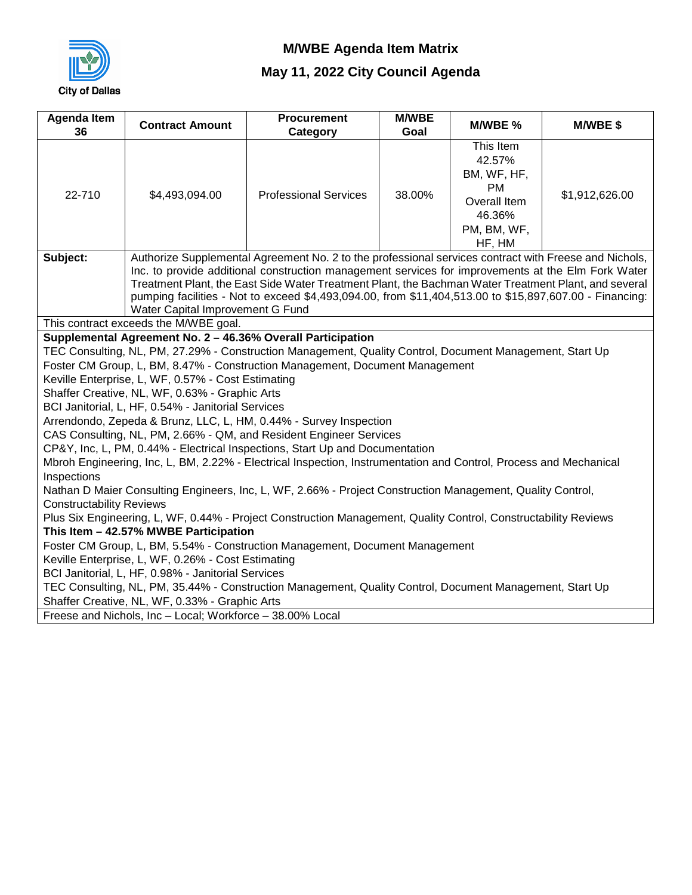

| This Item<br>42.57%<br>BM, WF, HF,<br><b>PM</b><br>22-710<br><b>Professional Services</b><br>38.00%<br>\$1,912,626.00<br>\$4,493,094.00<br>Overall Item<br>46.36%<br>PM, BM, WF,<br>HF, HM<br>Authorize Supplemental Agreement No. 2 to the professional services contract with Freese and Nichols,<br>Subject:<br>Inc. to provide additional construction management services for improvements at the Elm Fork Water<br>Treatment Plant, the East Side Water Treatment Plant, the Bachman Water Treatment Plant, and several<br>pumping facilities - Not to exceed \$4,493,094.00, from \$11,404,513.00 to \$15,897,607.00 - Financing:<br>Water Capital Improvement G Fund<br>This contract exceeds the M/WBE goal.<br>Supplemental Agreement No. 2 - 46.36% Overall Participation<br>TEC Consulting, NL, PM, 27.29% - Construction Management, Quality Control, Document Management, Start Up<br>Foster CM Group, L, BM, 8.47% - Construction Management, Document Management<br>Keville Enterprise, L, WF, 0.57% - Cost Estimating<br>Shaffer Creative, NL, WF, 0.63% - Graphic Arts<br>BCI Janitorial, L, HF, 0.54% - Janitorial Services<br>Arrendondo, Zepeda & Brunz, LLC, L, HM, 0.44% - Survey Inspection<br>CAS Consulting, NL, PM, 2.66% - QM, and Resident Engineer Services<br>CP&Y, Inc, L, PM, 0.44% - Electrical Inspections, Start Up and Documentation<br>Mbroh Engineering, Inc, L, BM, 2.22% - Electrical Inspection, Instrumentation and Control, Process and Mechanical<br>Inspections<br>Nathan D Maier Consulting Engineers, Inc, L, WF, 2.66% - Project Construction Management, Quality Control,<br><b>Constructability Reviews</b><br>Plus Six Engineering, L, WF, 0.44% - Project Construction Management, Quality Control, Constructability Reviews<br>This Item - 42.57% MWBE Participation<br>Foster CM Group, L, BM, 5.54% - Construction Management, Document Management<br>Keville Enterprise, L, WF, 0.26% - Cost Estimating<br>BCI Janitorial, L, HF, 0.98% - Janitorial Services | <b>Agenda Item</b><br>36 | <b>Contract Amount</b> | <b>Procurement</b><br>Category | <b>M/WBE</b><br>Goal | M/WBE % | M/WBE\$ |  |  |  |  |  |  |  |
|------------------------------------------------------------------------------------------------------------------------------------------------------------------------------------------------------------------------------------------------------------------------------------------------------------------------------------------------------------------------------------------------------------------------------------------------------------------------------------------------------------------------------------------------------------------------------------------------------------------------------------------------------------------------------------------------------------------------------------------------------------------------------------------------------------------------------------------------------------------------------------------------------------------------------------------------------------------------------------------------------------------------------------------------------------------------------------------------------------------------------------------------------------------------------------------------------------------------------------------------------------------------------------------------------------------------------------------------------------------------------------------------------------------------------------------------------------------------------------------------------------------------------------------------------------------------------------------------------------------------------------------------------------------------------------------------------------------------------------------------------------------------------------------------------------------------------------------------------------------------------------------------------------------------------------------------------------------------------------------------------------------------|--------------------------|------------------------|--------------------------------|----------------------|---------|---------|--|--|--|--|--|--|--|
|                                                                                                                                                                                                                                                                                                                                                                                                                                                                                                                                                                                                                                                                                                                                                                                                                                                                                                                                                                                                                                                                                                                                                                                                                                                                                                                                                                                                                                                                                                                                                                                                                                                                                                                                                                                                                                                                                                                                                                                                                        |                          |                        |                                |                      |         |         |  |  |  |  |  |  |  |
|                                                                                                                                                                                                                                                                                                                                                                                                                                                                                                                                                                                                                                                                                                                                                                                                                                                                                                                                                                                                                                                                                                                                                                                                                                                                                                                                                                                                                                                                                                                                                                                                                                                                                                                                                                                                                                                                                                                                                                                                                        |                          |                        |                                |                      |         |         |  |  |  |  |  |  |  |
|                                                                                                                                                                                                                                                                                                                                                                                                                                                                                                                                                                                                                                                                                                                                                                                                                                                                                                                                                                                                                                                                                                                                                                                                                                                                                                                                                                                                                                                                                                                                                                                                                                                                                                                                                                                                                                                                                                                                                                                                                        |                          |                        |                                |                      |         |         |  |  |  |  |  |  |  |
|                                                                                                                                                                                                                                                                                                                                                                                                                                                                                                                                                                                                                                                                                                                                                                                                                                                                                                                                                                                                                                                                                                                                                                                                                                                                                                                                                                                                                                                                                                                                                                                                                                                                                                                                                                                                                                                                                                                                                                                                                        |                          |                        |                                |                      |         |         |  |  |  |  |  |  |  |
| TEC Consulting, NL, PM, 35.44% - Construction Management, Quality Control, Document Management, Start Up<br>Shaffer Creative, NL, WF, 0.33% - Graphic Arts<br>Freese and Nichols, Inc - Local; Workforce - 38.00% Local                                                                                                                                                                                                                                                                                                                                                                                                                                                                                                                                                                                                                                                                                                                                                                                                                                                                                                                                                                                                                                                                                                                                                                                                                                                                                                                                                                                                                                                                                                                                                                                                                                                                                                                                                                                                |                          |                        |                                |                      |         |         |  |  |  |  |  |  |  |